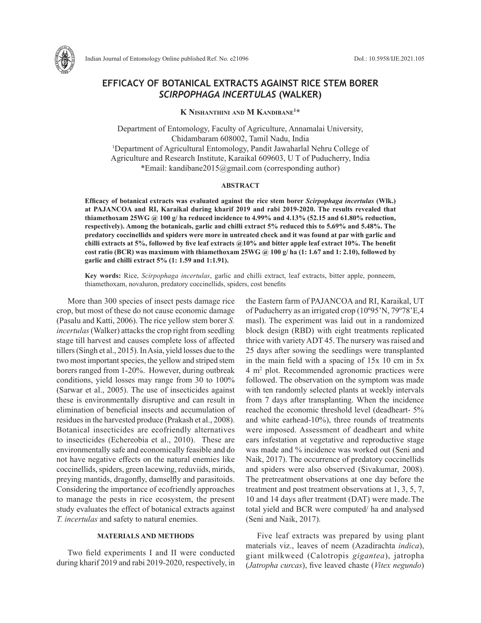

Indian Journal of Entomology Online published Ref. No. e21096 DoI.: 10.5958/IJE.2021.105

# **EFFICACY OF BOTANICAL EXTRACTS AGAINST RICE STEM BORER**  *SCIRPOPHAGA INCERTULAS* **(WALKER)**

**K Nishanthini and M Kandibane1 \***

Department of Entomology, Faculty of Agriculture, Annamalai University, Chidambaram 608002, Tamil Nadu, India 1 Department of Agricultural Entomology, Pandit Jawaharlal Nehru College of Agriculture and Research Institute, Karaikal 609603, U T of Puducherry, India \*Email: kandibane2015@gmail.com (corresponding author)

## **ABSTRACT**

**Efficacy of botanical extracts was evaluated against the rice stem borer** *Scirpophaga incertulas* **(Wlk.) at PAJANCOA and RI, Karaikal during kharif 2019 and rabi 2019-2020. The results revealed that thiamethoxam 25WG @ 100 g/ ha reduced incidence to 4.99% and 4.13% (52.15 and 61.80% reduction, respectively). Among the botanicals, garlic and chilli extract 5% reduced this to 5.69% and 5.48%. The predatory coccinellids and spiders were more in untreated check and it was found at par with garlic and chilli extracts at 5%, followed by five leaf extracts @10% and bitter apple leaf extract 10%. The benefit cost ratio (BCR) was maximum with thiamethoxam 25WG @ 100 g/ ha (1: 1.67 and 1: 2.10), followed by garlic and chilli extract 5% (1: 1.59 and 1:1.91).**

**Key words:** Rice, *Scirpophaga incertulas*, garlic and chilli extract, leaf extracts, bitter apple, ponneem, thiamethoxam, novaluron, predatory coccinellids, spiders, cost benefits

More than 300 species of insect pests damage rice crop, but most of these do not cause economic damage (Pasalu and Katti, 2006). The rice yellow stem borer *S. incertulas* (Walker) attacks the crop right from seedling stage till harvest and causes complete loss of affected tillers (Singh et al., 2015). In Asia, yield losses due to the two most important species, the yellow and striped stem borers ranged from 1-20%. However, during outbreak conditions, yield losses may range from 30 to 100% (Sarwar et al., 2005). The use of insecticides against these is environmentally disruptive and can result in elimination of beneficial insects and accumulation of residues in the harvested produce (Prakash et al., 2008). Botanical insecticides are ecofriendly alternatives to insecticides (Echereobia et al., 2010). These are environmentally safe and economically feasible and do not have negative effects on the natural enemies like coccinellids, spiders, green lacewing, reduviids, mirids, preying mantids, dragonfly, damselfly and parasitoids. Considering the importance of ecofriendly approaches to manage the pests in rice ecosystem, the present study evaluates the effect of botanical extracts against *T. incertulas* and safety to natural enemies.

## **MATERIALS AND METHODS**

Two field experiments I and II were conducted during kharif 2019 and rabi 2019-2020, respectively, in the Eastern farm of PAJANCOA and RI, Karaikal, UT of Puducherry as an irrigated crop (10º95'N, 79º78'E,4 masl). The experiment was laid out in a randomized block design (RBD) with eight treatments replicated thrice with variety ADT 45. The nursery was raised and 25 days after sowing the seedlings were transplanted in the main field with a spacing of 15x 10 cm in 5x 4 m2 plot. Recommended agronomic practices were followed. The observation on the symptom was made with ten randomly selected plants at weekly intervals from 7 days after transplanting. When the incidence reached the economic threshold level (deadheart- 5% and white earhead-10%), three rounds of treatments were imposed. Assessment of deadheart and white ears infestation at vegetative and reproductive stage was made and % incidence was worked out (Seni and Naik, 2017). The occurrence of predatory coccinellids and spiders were also observed (Sivakumar, 2008). The pretreatment observations at one day before the treatment and post treatment observations at 1, 3, 5, 7, 10 and 14 days after treatment (DAT) were made.The total yield and BCR were computed/ ha and analysed (Seni and Naik, 2017).

Five leaf extracts was prepared by using plant materials viz., leaves of neem (Azadirachta *indica*), giant milkweed (Calotropis *gigantea*), jatropha (*Jatropha curcas*), five leaved chaste (*Vitex negundo*)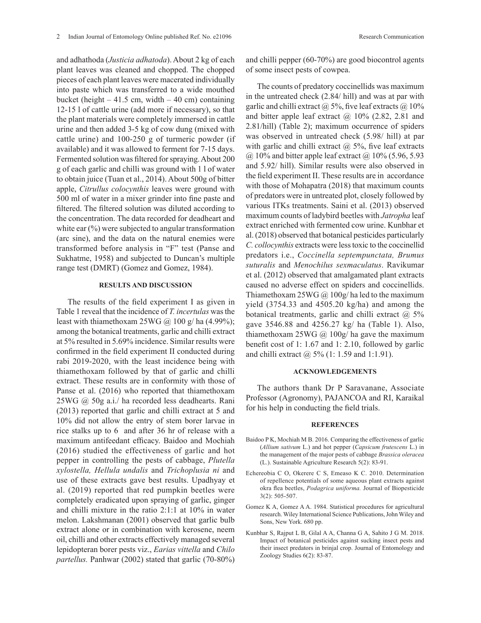and adhathoda (*Justicia adhatoda*). About 2 kg of each plant leaves was cleaned and chopped. The chopped pieces of each plant leaves were macerated individually into paste which was transferred to a wide mouthed bucket (height  $-41.5$  cm, width  $-40$  cm) containing 12-15 l of cattle urine (add more if necessary), so that the plant materials were completely immersed in cattle urine and then added 3-5 kg of cow dung (mixed with cattle urine) and 100-250 g of turmeric powder (if available) and it was allowed to ferment for 7-15 days. Fermented solution was filtered for spraying. About 200 g of each garlic and chilli was ground with 1 l of water to obtain juice (Tuan et al., 2014). About 500g of bitter apple, *Citrullus colocynthis* leaves were ground with 500 ml of water in a mixer grinder into fine paste and filtered. The filtered solution was diluted according to the concentration. The data recorded for deadheart and white ear  $(\%)$  were subjected to angular transformation (arc sine), and the data on the natural enemies were transformed before analysis in "F" test (Panse and

#### **RESULTS AND DISCUSSION**

Sukhatme, 1958) and subjected to Duncan's multiple range test (DMRT) (Gomez and Gomez, 1984).

The results of the field experiment I as given in Table 1 reveal that the incidence of *T. incertulas* was the least with thiamethoxam  $25WG$  ( $\omega$ , 100 g/ ha (4.99%); among the botanical treatments, garlic and chilli extract at 5% resulted in 5.69% incidence. Similar results were confirmed in the field experiment II conducted during rabi 2019-2020, with the least incidence being with thiamethoxam followed by that of garlic and chilli extract. These results are in conformity with those of Panse et al. (2016) who reported that thiamethoxam 25WG @ 50g a.i./ ha recorded less deadhearts. Rani (2013) reported that garlic and chilli extract at 5 and 10% did not allow the entry of stem borer larvae in rice stalks up to 6 and after 36 hr of release with a maximum antifeedant efficacy. Baidoo and Mochiah (2016) studied the effectiveness of garlic and hot pepper in controlling the pests of cabbage, *Plutella xylostella, Hellula undalis* and *Trichoplusia ni* and use of these extracts gave best results. Upadhyay et al. (2019) reported that red pumpkin beetles were completely eradicated upon spraying of garlic, ginger and chilli mixture in the ratio 2:1:1 at 10% in water melon. Lakshmanan (2001) observed that garlic bulb extract alone or in combination with kerosene, neem oil, chilli and other extracts effectively managed several lepidopteran borer pests viz., *Earias vittella* and *Chilo partellus.* Panhwar (2002) stated that garlic (70-80%) and chilli pepper (60-70%) are good biocontrol agents of some insect pests of cowpea.

The counts of predatory coccinellids was maximum in the untreated check (2.84/ hill) and was at par with garlic and chilli extract  $\omega$  5%, five leaf extracts  $\omega$  10% and bitter apple leaf extract  $\omega$  10% (2.82, 2.81 and 2.81/hill) (Table 2); maximum occurrence of spiders was observed in untreated check (5.98/ hill) at par with garlic and chilli extract  $\omega$  5%, five leaf extracts  $(a)$  10% and bitter apple leaf extract  $(a)$  10% (5.96, 5.93) and 5.92/ hill). Similar results were also observed in the field experiment II. These results are in accordance with those of Mohapatra (2018) that maximum counts of predators were in untreated plot, closely followed by various ITKs treatments. Saini et al. (2013) observed maximum counts of ladybird beetles with *Jatropha* leaf extract enriched with fermented cow urine. Kunbhar et al. (2018) observed that botanical pesticides particularly *C. collocynthis* extracts were less toxic to the coccinellid predators i.e., *Coccinella septempunctata, Brumus suturalis* and *Menochilus sexmaculatus*. Ravikumar et al. (2012) observed that amalgamated plant extracts caused no adverse effect on spiders and coccinellids. Thiamethoxam  $25WG \omega$  100g/ha led to the maximum yield (3754.33 and 4505.20 kg/ha) and among the botanical treatments, garlic and chilli extract  $@$  5% gave 3546.88 and 4256.27 kg/ ha (Table 1). Also, thiamethoxam  $25WG$  ( $\omega$  100g/ ha gave the maximum benefit cost of 1: 1.67 and 1: 2.10, followed by garlic and chilli extract @ 5% (1: 1.59 and 1:1.91).

#### **ACKNOWLEDGEMENTS**

The authors thank Dr P Saravanane, Associate Professor (Agronomy), PAJANCOA and RI, Karaikal for his help in conducting the field trials.

### **REFERENCES**

- Baidoo P K, Mochiah M B. 2016. Comparing the effectiveness of garlic (*Allium sativum* L.) and hot pepper (*Capsicum frutescens* L.) in the management of the major pests of cabbage *Brassica oleracea* (L.). Sustainable Agriculture Research 5(2): 83-91.
- Echereobia C O, Okerere C S, Emeaso K C. 2010. Determination of repellence potentials of some aqueous plant extracts against okra flea beetles, *Podagrica uniforma.* Journal of Biopesticide 3(2): 505-507.
- Gomez K A, Gomez A A. 1984. Statistical procedures for agricultural research. Wiley International Science Publications, John Wiley and Sons, New York. 680 pp.
- Kunbhar S, Rajput L B, Gilal A A, Channa G A, Sahito J G M. 2018. Impact of botanical pesticides against sucking insect pests and their insect predators in brinjal crop. Journal of Entomology and Zoology Studies 6(2): 83-87.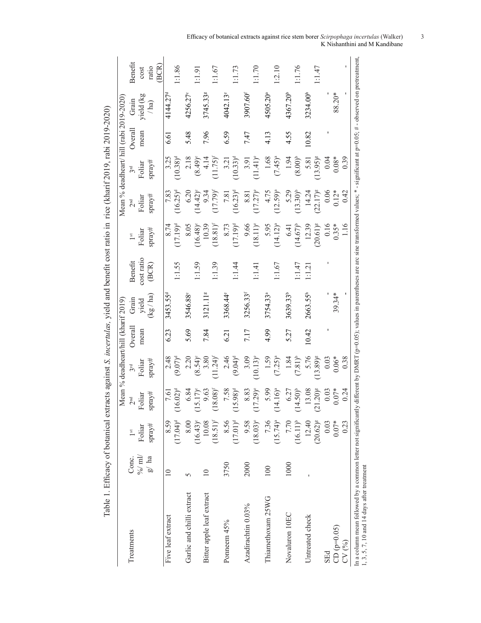|                                                                                                              |                 |               |                                           |                                     |         |                      |                | Table 1. Efficacy of botanical extracts against S. incertulas, yield and benefit cost ratio in rice (kharif 2019, rabi 2019-2020)                |                 |                                         |           |                      |                |
|--------------------------------------------------------------------------------------------------------------|-----------------|---------------|-------------------------------------------|-------------------------------------|---------|----------------------|----------------|--------------------------------------------------------------------------------------------------------------------------------------------------|-----------------|-----------------------------------------|-----------|----------------------|----------------|
|                                                                                                              |                 |               |                                           | Mean % deadheart/hill (kharif 2019) |         |                      |                |                                                                                                                                                  |                 | Mean % deadheart/ hill (rabi 2019-2020) |           |                      |                |
| Treatments                                                                                                   | Conc.           | $1$ st        | 2 <sup>nd</sup>                           | 3 <sup>rd</sup>                     | Overall | Grain                | <b>Benefit</b> | $\overline{1}$ st                                                                                                                                | 2 <sup>nd</sup> | 3rd                                     | Overall   | Grain                | <b>Benefit</b> |
|                                                                                                              | % $/m$          | Foliar        | oliar                                     | Foliar                              | mean    | yield                | cost ratio     | Foliar                                                                                                                                           | Foliar          | Foliar                                  | mean      | yield (kg            | cost           |
|                                                                                                              | $g/$ ha         | spray#        | $\ensuremath{\mathrm{spray}}\xspace^{\#}$ | $spray#$                            |         | $\log / \text{ha}$   | (BCR)          | spray#                                                                                                                                           | spray#          | $spray#$                                |           | $/$ ha)              | (BCR)<br>ratio |
| Five leaf extract                                                                                            | $\overline{10}$ | 8.59          | 7.61                                      | 2.48                                | 6.23    | 3453.55              |                | 8.74                                                                                                                                             | 7.83            |                                         | <u>ري</u> | 4144.27 <sup>d</sup> |                |
|                                                                                                              |                 | $(17.04)^d$   | $6.02)^d$                                 | $(9.07)^{d}$                        |         |                      | 1:1.55         | $(17.19)^d$                                                                                                                                      | $(16.25)^d$     | $3.25$<br>(10.38) <sup>d</sup>          |           |                      | .1.86          |
| Garlic and chilli extract                                                                                    | $\overline{5}$  | 8.00          | 6.84                                      | 2.20                                | 5.69    | 3546.88              |                | 8.05                                                                                                                                             | 6.20            | 2.18                                    | 5.48      | 4256.27              |                |
|                                                                                                              |                 | $(16.43)^e$   | $5.17$ <sup>o</sup>                       | $(8.54)$ <sup>c</sup>               |         |                      | 1:1.59         | $(16.48)^{\circ}$                                                                                                                                | $(14.42)^{c}$   | $(8.49)^{\circ}$                        |           |                      | : 1.91         |
| Bitter apple leaf extract                                                                                    | $\Box$          | 10.08         | 9.63                                      | 3.80                                | 7.84    | 3121.118             |                | 10.39                                                                                                                                            | 9.34            | 4.14                                    | 7.96      | 3745.33ª             |                |
|                                                                                                              |                 | $(18.51)^{f}$ | $8.08$ <sup>f</sup>                       | $(11.24)^{f}$                       |         |                      | 1:1.39         | $(18.81)^f$                                                                                                                                      | $(17.79)^{f}$   | $(11.75)^{f}$                           |           |                      | 1:1.67         |
| Ponneem 45%                                                                                                  | 3750            | 8.56          | 7.58                                      | 2.46                                | 6.21    | 3368.44              |                | 8.73                                                                                                                                             | 7.81            | 3.21                                    | 6.59      | 4042.13              |                |
|                                                                                                              |                 | $(17.01)^d$   | $5.98$ <sup>d</sup>                       | $(9.04)$ <sup>d</sup>               |         |                      | 1:1.44         | $(17.19)^d$                                                                                                                                      | $(16.23)^d$     | $(10.33)^d$                             |           |                      | 1:1.73         |
| Azadirachtin 0.03%                                                                                           | 2000            | 9.58          | 8.83                                      | 3.09                                | 7.17    | 3256.33              |                | 9.66                                                                                                                                             | 8.81            | 3.91                                    | 7.47      | 3907.60              |                |
|                                                                                                              |                 | $(18.03)^e$   | $7.29)$ °                                 | $(10.13)^e$                         |         |                      | 1:1.41         | $(18.11)^e$                                                                                                                                      | $(17.27)^{e}$   | $(11.41)^e$                             |           |                      | 1:1.70         |
| Thiamethoxam 25WG                                                                                            | 100             | 7.36          | 5.99                                      | 1.59                                | 4.99    | 3754.33ª             |                | 5.95                                                                                                                                             | 4.75            | 1.68                                    | 4.13      | $4505.20^{\circ}$    |                |
|                                                                                                              |                 | $(15.74)^a$   | $(4.16)^a$                                | $(7.25)^{a}$                        |         |                      | 1:1.67         | $(14.12)^{a}$                                                                                                                                    | $(12.59)^{a}$   | $(7.45)^{a}$                            |           |                      | 1:2.10         |
| Novaluron 10EC                                                                                               | 1000            | 7.70          | 6.27                                      | 1.84                                | 5.27    | 3639.33              |                | 6.41                                                                                                                                             | 5.29            | 1.94                                    | 4.55      | 4367.20 <sup>b</sup> |                |
|                                                                                                              |                 | $(16.11)^{b}$ | $(4.50)^{b}$                              | $(7.81)$ <sup>b</sup>               |         |                      | 1.47           | $(14.67)^{b}$                                                                                                                                    | $(13.30)^{b}$   | $(8.00)^{b}$                            |           |                      | 1:1.76         |
| Untreated check                                                                                              |                 | 12.40         | 13.08                                     | 5.76                                | 10.42   | 2663.55 <sup>h</sup> | 1:1.21         | 12.39                                                                                                                                            | 14.24           | 5.81                                    | 10.82     | 3234.00h             |                |
|                                                                                                              |                 | $(20.62)^{s}$ | $1.20$ <sup>s</sup><br>$\Xi$              | $(13.89)^{8}$                       |         |                      |                | $(20.61)^{g}$                                                                                                                                    | $(22.17)^{s}$   | $(13.95)^8$                             |           |                      | 1:1.47         |
| <b>SEd</b>                                                                                                   |                 | 0.03          | 0.03                                      | 0.03                                |         |                      |                | 0.16                                                                                                                                             | 0.06            | 0.04                                    |           |                      |                |
| $CD (p=0.05)$                                                                                                |                 | $0.07*$       | $0.07*$                                   | $0.06*$<br>0.38                     |         | 39.34*               |                | $0.35*$<br>1.16                                                                                                                                  | $0.12*$         | $0.08*$                                 |           | 88.20*               |                |
| CV (%)                                                                                                       |                 | 0.23          | 0.24                                      |                                     |         |                      |                |                                                                                                                                                  | 0.42            | 0.39                                    |           |                      |                |
| In a column mean followed by a common letter not significantly<br>1, 3, 5, 7, 10 and 14 days after treatment |                 |               |                                           |                                     |         |                      |                | different by DMRT (p=0.05); values in parentheses are arc sine transformed values; $*$ - significant at p=0.05; $\#$ - observed on pretreatment, |                 |                                         |           |                      |                |

Efficacy of botanical extracts against rice stem borer *Scirpophaga incertulas* (Walker) 3 K Nishanthini and M Kandibane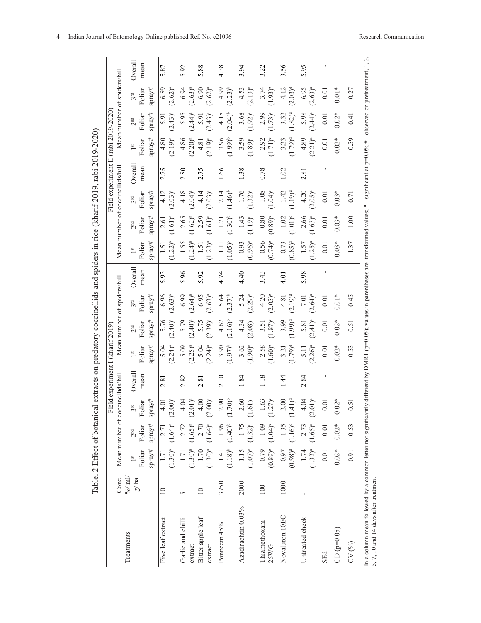|                                                                                                                                                                                                                                                 |                   |                                                        |                                       |                                             | Table. 2 Effect of botanical extracts on predatory coccinellids and spiders in rice (kharif 2019, rabi 2019-2020) |                                    |                                       |                                     |                |                                    |                                           |                               |                                     |                                     |                                  |                               |                 |
|-------------------------------------------------------------------------------------------------------------------------------------------------------------------------------------------------------------------------------------------------|-------------------|--------------------------------------------------------|---------------------------------------|---------------------------------------------|-------------------------------------------------------------------------------------------------------------------|------------------------------------|---------------------------------------|-------------------------------------|----------------|------------------------------------|-------------------------------------------|-------------------------------|-------------------------------------|-------------------------------------|----------------------------------|-------------------------------|-----------------|
| Treatments                                                                                                                                                                                                                                      | $\%$ ml/<br>Conc. |                                                        |                                       | Mean number of coccinellids/hill            | Field experiment I (kharif 2019)                                                                                  |                                    |                                       | Mean number of spiders/hill         |                |                                    | Mean number of coccinellids/hill          |                               | Field experiment II (rabi 2019-2020 |                                     |                                  | Mean number of spiders/hill   |                 |
|                                                                                                                                                                                                                                                 | g/ha              | $spray#$<br>Foliar<br>$\mathsf{I}^{\operatorname{st}}$ | $spray#$<br>Foliar<br>2 <sup>nd</sup> | $spray#$<br>Foliar<br>3 <sup>rd</sup>       | Overall<br>mean                                                                                                   | spray#<br>Foliar<br>$\frac{st}{t}$ | $spray#$<br>Foliar<br>2 <sup>nd</sup> | spray#<br>Foliar<br>3 <sup>rd</sup> | Overal<br>mean | spray#<br>Foliar<br>$\frac{st}{t}$ | spray#<br>Foliar<br>$2^{\rm nd}$          | spray#<br>Foliar<br>3rd       | Overall<br>mean                     | $spray#$<br>Foliar<br>$\frac{1}{2}$ | spray#<br>Foliar<br>$2^{\rm nd}$ | $spray#$<br>Foliar<br>3rd     | Overall<br>mean |
| Five leaf extract                                                                                                                                                                                                                               | $\equiv$          | $(1.30)^{a}$<br>1.71                                   | $(1.64)^{a}$<br>2.71                  | $(2.00)^{a}$<br>$\overline{0}$              | $\frac{8}{2}$                                                                                                     | $(2.24)^{a}$<br>5.04               | $(2.40)^{a}$<br>5.76                  | 6.96<br>$(2.63)^{a}$                | 5.93           | $(1.22)^{a}$<br>1.5                | $1.61)^a$<br>2.61                         | 4.12<br>$(2.03)^{a}$          | 2.75                                | 4.80<br>$(2.19)^{a}$                | $(2.43)^{a}$<br>5.91             | 6.89<br>$(2.62)^{a}$          | 5.87            |
| Garlic and chilli<br>extract                                                                                                                                                                                                                    | 5                 | (1.30) <sup>a</sup><br>1.71                            | $(1.65)^{a}$<br>2.72                  | $1)^a$<br>$\widetilde{q}$<br>$\overline{c}$ | 2.82                                                                                                              | 5.09<br>$(2.25)^{a}$               | $(2.40)^{a}$<br>5.79                  | 6.99<br>$(2.64)^{a}$                | 5.96           | 1.55<br>$1.24$ <sup>a</sup>        | $1.62)^{a}$<br>2.65                       | 4.18<br>$(2.04)^a$            | 2.80                                | 4.86<br>$(2.20)^{a}$                | 5.95<br>$(2.44)^{a}$             | 6.94<br>$(2.63)^{a}$          | 5.92            |
| Bitter apple leaf<br>extract                                                                                                                                                                                                                    | $\supseteq$       | $(1.30)^{a}$<br>1.70                                   | $(1.64)^{a}$<br>2.70                  | $\odot$<br>$(2.00)^{a}$                     | 2.81                                                                                                              | $(2.24)^{a}$<br>5.04               | $(2.39)^{a}$<br>5.75                  | $(2.63)^{a}$<br>6.95                | 5.92           | $(1.23)^{a}$<br>$\overline{1.5}$   | $1.61)^a$<br>2.59                         | $(2.03)^{a}$<br>4.14          | 2.75                                | $(2.19)^{a}$<br>4.81                | $(2.43)^{a}$<br>5.91             | $(2.62)^{a}$<br>6.90          | 5.88            |
| Ponneem 45%                                                                                                                                                                                                                                     | 3750              | $(1.18)^{b}$<br>1.41                                   | $(1.40)^{b}$<br>1.96                  | $(1.70)^{\rm b}$<br>90                      | 2.10                                                                                                              | 3.90<br>$(1.97)^{b}$               | $(2.16)^{b}$<br>4.67                  | 5.64<br>$(2.37)$ <sup>b</sup>       | 4.74           | $1.05)$ <sup>b</sup><br>Ξ          | $1.30)$ <sup>b</sup><br>$\overline{1.71}$ | $2.14$<br>(1.46) <sup>b</sup> | 1.66                                | 3.96<br>$1.99)$ <sup>b</sup>        | $(2.04)^{b}$<br>4.18             | $(2.23)^{b}$<br>4.99          | 4.38            |
| Azadirachtin 0.03%                                                                                                                                                                                                                              | 2000              | $(1.07)^{c}$<br>1.15                                   | $(1.32)^{c}$<br>1.75                  | 60<br>$(1.61)^e$                            | 1.84                                                                                                              | $(1.90)^{\circ}$<br>3.62           | $(2.08)^{\circ}$<br>4.34              | $(2.29)^c$<br>5.24                  | 4.40           | $(0.96)^{\circ}$<br>0.93           | $1.19)$ <sup>c</sup><br>1.43              | 1.76<br>$(1.32)^{6}$          | 1.38                                | $(1.89)^c$<br>3.59                  | 3.68<br>$1.92$ <sup>°</sup>      | $(2.13)^{c}$<br>4.53          | 3.94            |
| Thiamethoxam<br>25WG                                                                                                                                                                                                                            | 100               | 0.79<br>$(0.89)^e$                                     | $(1.04)^e$<br>1.09                    | 63<br>$(1.27)$ <sup>e</sup>                 | 1.18                                                                                                              | $(1.60)$ <sup>e</sup><br>2.58      | $1.87)$ e<br>3.51                     | $4.20$<br>(2.05) <sup>e</sup>       | 3.43           | 0.56<br>$(0.74)$ <sup>e</sup>      | $(0.89)^e$<br>0.80                        | 1.08<br>$(1.04)$ <sup>e</sup> | 0.78                                | 2.92<br>$(1.71)^e$                  | $1.73)$ <sup>e</sup><br>2.99     | 3.74<br>$(1.93)^{e}$          | 3.22            |
| Novaluron 10EC                                                                                                                                                                                                                                  | 1000              | $(0.98)^d$<br>0.97                                     | $(1.16)^d$<br>1.35                    | $\odot$<br>$(1)^d$<br>$\frac{4}{1}$         | $\overline{14}$                                                                                                   | $1.79)$ <sup>d</sup><br>3.21       | 3.99<br>$1.99)^d$                     | $(2.19)^d$<br>4.81                  | $\overline{0}$ | $(0.85)$ <sup>d</sup><br>0.73      | $1.01$ <sup>d</sup><br>1.02               | 1.42<br>$(1.19)^d$            | 1.02                                | $1.79)^d$<br>3.23                   | $1.82)^d$<br>3.32                | 4.12<br>$(2.03)$ <sup>d</sup> | 3.56            |
| Untreated check                                                                                                                                                                                                                                 |                   | 1.74<br>$(1.32)^{a}$                                   | $(1.65)^{a}$<br>2.73                  | $(1)^a$<br>$\dot{5}$<br>$\tilde{a}$         | 2.84                                                                                                              | $(2.26)^{a}$<br>$\overline{5}$ .   | $(2.41)^{a}$<br>5.81                  | $(2.64)^{a}$<br><b>101</b>          | 5.98           | $1.25)^{a}$<br>1.57                | 2.66<br>$1.63)^a$                         | 4.20<br>$(2.05)^{a}$          | 2.81                                | 4.89<br>$(2.21)^{a}$                | 5.98<br>$(2.44)^{a}$             | 6.95<br>$(2.63)^{a}$          | 5.95            |
| <b>SEd</b>                                                                                                                                                                                                                                      |                   | 0.01                                                   | $0.01\,$                              | ā                                           |                                                                                                                   | 0.01                               | 0.01                                  | 0.01                                |                | 0.01                               | 0.01                                      | 0.01                          |                                     | 0.01                                | 0.01                             | 0.01                          |                 |
| $CD (p=0.05)$                                                                                                                                                                                                                                   |                   | $0.02*$                                                | $0.02*$                               | $02*$<br>$\sum_{i=1}^{n}$                   |                                                                                                                   | $0.02*$                            | $0.02*$                               | $0.01*$                             |                | $0.03*$                            | $0.03*$                                   | $0.03*$                       |                                     | $0.02*$                             | $0.02*$                          | $0.01*$                       |                 |
| CV(%)                                                                                                                                                                                                                                           |                   | 0.91                                                   | 0.53                                  | $\overline{51}$                             |                                                                                                                   | 0.53                               | 0.51                                  | 645                                 |                | 1.37                               | 1.00                                      | 0.71                          |                                     | 0.59                                | 0.41                             | 0.27                          |                 |
| In a column mean followed by a common letter not significantly different by DMRT (p=0.05), values in parentheses are transformed values; * - significant at p=0.05; # - observed on pretreatment, 1, 3,<br>5, 7, 10 and 14 days after treatment |                   |                                                        |                                       |                                             |                                                                                                                   |                                    |                                       |                                     |                |                                    |                                           |                               |                                     |                                     |                                  |                               |                 |